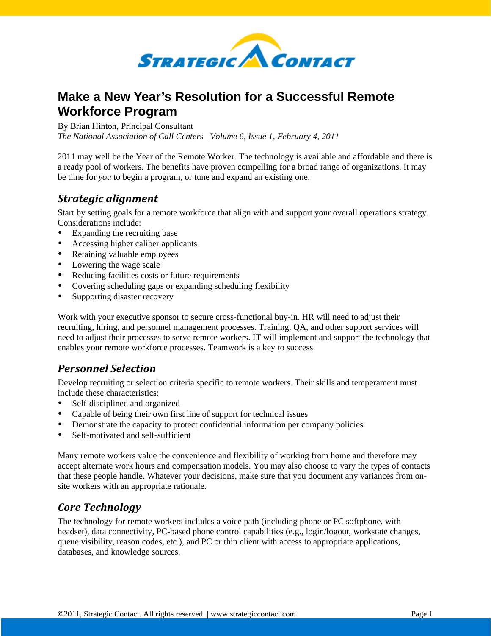

# **Make a New Year's Resolution for a Successful Remote Workforce Program**

By Brian Hinton, Principal Consultant

*The National Association of Call Centers | Volume 6, Issue 1, February 4, 2011* 

2011 may well be the Year of the Remote Worker. The technology is available and affordable and there is a ready pool of workers. The benefits have proven compelling for a broad range of organizations. It may be time for *you* to begin a program, or tune and expand an existing one.

### *Strategic alignment*

Start by setting goals for a remote workforce that align with and support your overall operations strategy. Considerations include:

- Expanding the recruiting base
- Accessing higher caliber applicants
- Retaining valuable employees
- Lowering the wage scale
- Reducing facilities costs or future requirements
- Covering scheduling gaps or expanding scheduling flexibility
- Supporting disaster recovery

Work with your executive sponsor to secure cross-functional buy-in. HR will need to adjust their recruiting, hiring, and personnel management processes. Training, QA, and other support services will need to adjust their processes to serve remote workers. IT will implement and support the technology that enables your remote workforce processes. Teamwork is a key to success.

## *Personnel Selection*

Develop recruiting or selection criteria specific to remote workers. Their skills and temperament must include these characteristics:

- Self-disciplined and organized
- Capable of being their own first line of support for technical issues
- Demonstrate the capacity to protect confidential information per company policies
- Self-motivated and self-sufficient

Many remote workers value the convenience and flexibility of working from home and therefore may accept alternate work hours and compensation models. You may also choose to vary the types of contacts that these people handle. Whatever your decisions, make sure that you document any variances from onsite workers with an appropriate rationale.

# *Core Technology*

The technology for remote workers includes a voice path (including phone or PC softphone, with headset), data connectivity, PC-based phone control capabilities (e.g., login/logout, workstate changes, queue visibility, reason codes, etc.), and PC or thin client with access to appropriate applications, databases, and knowledge sources.